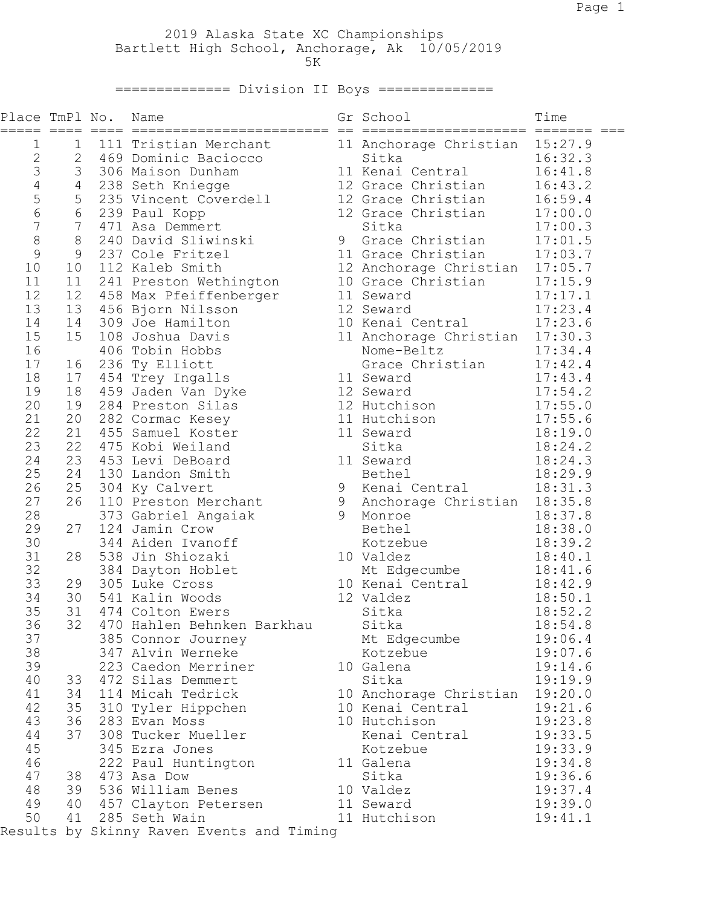2019 Alaska State XC Championships Bartlett High School, Anchorage, Ak 10/05/2019  $5K$ 

=============== Division II Boys ==============

| Place TmPl No. |                |                                           | Name                                                                                                                                                                                                                                                      |  | Gr School                                                | Time    |  |  |  |
|----------------|----------------|-------------------------------------------|-----------------------------------------------------------------------------------------------------------------------------------------------------------------------------------------------------------------------------------------------------------|--|----------------------------------------------------------|---------|--|--|--|
| $\mathbf 1$    | $\mathbf 1$    |                                           | 111 Tristian Merchant                                                                                                                                                                                                                                     |  | 11 Anchorage Christian 15:27.9                           |         |  |  |  |
| $\overline{c}$ |                |                                           | 2 469 Dominic Baciocco<br>Exercise of the Christian<br>306 Maison Dunham<br>238 Seth Kniegge 12 Grace Christian<br>235 Vincent Coverdell 12 Grace Christian<br>239 Paul Kopp 12 Grace Christian<br>471 Asa Demmert                                        |  |                                                          | 16:32.3 |  |  |  |
| 3              | 3              |                                           |                                                                                                                                                                                                                                                           |  | 11 Kenai Central                                         | 16:41.8 |  |  |  |
| $\sqrt{4}$     | $\overline{4}$ |                                           |                                                                                                                                                                                                                                                           |  |                                                          | 16:43.2 |  |  |  |
| 5              | 5              |                                           |                                                                                                                                                                                                                                                           |  |                                                          | 16:59.4 |  |  |  |
| 6              |                |                                           |                                                                                                                                                                                                                                                           |  | 12 Grace Christian 17:00.0<br>12 Grace Christian 17:00.0 |         |  |  |  |
| $\overline{7}$ |                |                                           |                                                                                                                                                                                                                                                           |  |                                                          |         |  |  |  |
| 8              |                |                                           | A Corristian 17:00.0<br>8 240 David Sliwinski<br>9 237 Cole Fritzel 11 Grace Christian 17:01.5<br>9 237 Cole Fritzel 11 Grace Christian 17:03.7<br>10 112 Kaleb Smith 12 Anchorage Christian 17:05.7<br>12 458 Max Pfeiffenberger 11                      |  |                                                          |         |  |  |  |
| 9              |                |                                           |                                                                                                                                                                                                                                                           |  |                                                          |         |  |  |  |
| 10             |                |                                           |                                                                                                                                                                                                                                                           |  |                                                          |         |  |  |  |
| 11             |                |                                           | 10 112 Kalex<br>11 241 Preston Wethington<br>12 458 Max Pfeiffenberger<br>13 456 Bjorn Nilsson<br>12 Seward<br>12 Seward<br>12 Seward<br>12 Seward<br>12 Seward<br>12 Seward<br>10 Kenai Central<br>17:23.6<br>17:23.6<br>10 Kenai Central<br>17:33.3<br> |  |                                                          |         |  |  |  |
| 12             |                |                                           |                                                                                                                                                                                                                                                           |  |                                                          |         |  |  |  |
| 13             |                |                                           |                                                                                                                                                                                                                                                           |  |                                                          |         |  |  |  |
| 14             |                |                                           |                                                                                                                                                                                                                                                           |  |                                                          |         |  |  |  |
| 15             |                |                                           |                                                                                                                                                                                                                                                           |  |                                                          |         |  |  |  |
| 16             |                |                                           |                                                                                                                                                                                                                                                           |  |                                                          |         |  |  |  |
| 17             |                |                                           |                                                                                                                                                                                                                                                           |  |                                                          |         |  |  |  |
| 18             |                |                                           | 17 454 Trey Ingalls                                                                                                                                                                                                                                       |  | 11 Seward                                                | 17:43.4 |  |  |  |
| 19             |                |                                           | 18 459 Jaden Van Dyke                                                                                                                                                                                                                                     |  | 12 Seward                                                | 17:54.2 |  |  |  |
| 20             | 19             |                                           |                                                                                                                                                                                                                                                           |  | 12 Hutchison                                             | 17:55.0 |  |  |  |
| 21             | 20             |                                           | 284 Preston Silas<br>282 Cormac Kesey                                                                                                                                                                                                                     |  |                                                          | 17:55.6 |  |  |  |
| 22             |                |                                           | 21 455 Samuel Koster                                                                                                                                                                                                                                      |  | 11 Hutchison<br>11 Seward                                |         |  |  |  |
| 23             |                |                                           | 22 475 Kobi Weiland                                                                                                                                                                                                                                       |  | Sitka                                                    | 18:19.0 |  |  |  |
| 24             |                |                                           | 23 453 Levi DeBoard                                                                                                                                                                                                                                       |  |                                                          | 18:24.2 |  |  |  |
| 25             | 24             |                                           |                                                                                                                                                                                                                                                           |  | 11 Seward                                                | 18:24.3 |  |  |  |
| 26             | 25             |                                           | 130 Landon Smith                                                                                                                                                                                                                                          |  | Bethel<br>9 Kenai Central                                | 18:29.9 |  |  |  |
| 27             | 26             |                                           | 304 Ky Calvert                                                                                                                                                                                                                                            |  |                                                          | 18:31.3 |  |  |  |
|                |                |                                           | 110 Preston Merchant                                                                                                                                                                                                                                      |  | 9 Anchorage Christian 18:35.8                            |         |  |  |  |
| 28             | 27             |                                           | 373 Gabriel Angaiak                                                                                                                                                                                                                                       |  | 9 Monroe                                                 | 18:37.8 |  |  |  |
| 29             |                |                                           | 124 Jamin Crow                                                                                                                                                                                                                                            |  | Bethel                                                   | 18:38.0 |  |  |  |
| 30             |                |                                           | 344 Aiden Ivanoff                                                                                                                                                                                                                                         |  | Kotzebue                                                 | 18:39.2 |  |  |  |
| 31             | 28             |                                           | 538 Jin Shiozaki                                                                                                                                                                                                                                          |  | 10 Valdez                                                | 18:40.1 |  |  |  |
| 32             |                |                                           | 384 Dayton Hoblet<br>et Mt Edge<br>10 Kenai C<br>12 Valdez<br>sitka                                                                                                                                                                                       |  | Mt Edgecumbe<br>10 Kenai Central                         | 18:41.6 |  |  |  |
| 33             | 29             |                                           | 305 Luke Cross                                                                                                                                                                                                                                            |  |                                                          | 18:42.9 |  |  |  |
| 34             |                |                                           | 30 541 Kalin Woods                                                                                                                                                                                                                                        |  |                                                          | 18:50.1 |  |  |  |
| 35             |                |                                           | 31 474 Colton Ewers                                                                                                                                                                                                                                       |  | Sitka                                                    | 18:52.2 |  |  |  |
| 36             |                |                                           | 32 470 Hahlen Behnken Barkhau Sitka                                                                                                                                                                                                                       |  |                                                          | 18:54.8 |  |  |  |
| 37             |                |                                           | 385 Connor Journey                                                                                                                                                                                                                                        |  | Mt Edgecumbe                                             | 19:06.4 |  |  |  |
| 38             |                |                                           | 347 Alvin Werneke                                                                                                                                                                                                                                         |  | Kotzebue                                                 | 19:07.6 |  |  |  |
| 39             |                |                                           | 223 Caedon Merriner                                                                                                                                                                                                                                       |  | 10 Galena                                                | 19:14.6 |  |  |  |
| 40             | 33             |                                           | 472 Silas Demmert                                                                                                                                                                                                                                         |  | Sitka                                                    | 19:19.9 |  |  |  |
| 41             |                |                                           | 34 114 Micah Tedrick                                                                                                                                                                                                                                      |  | 10 Anchorage Christian 19:20.0                           |         |  |  |  |
| 42             | 35             |                                           | 310 Tyler Hippchen                                                                                                                                                                                                                                        |  | 10 Kenai Central                                         | 19:21.6 |  |  |  |
| 43             | 36             |                                           | 283 Evan Moss                                                                                                                                                                                                                                             |  | 10 Hutchison                                             | 19:23.8 |  |  |  |
| 44             | 37             |                                           | 308 Tucker Mueller                                                                                                                                                                                                                                        |  | Kenai Central                                            | 19:33.5 |  |  |  |
| 45             |                |                                           | 345 Ezra Jones                                                                                                                                                                                                                                            |  | Kotzebue                                                 | 19:33.9 |  |  |  |
| 46             |                |                                           | 222 Paul Huntington                                                                                                                                                                                                                                       |  | 11 Galena                                                | 19:34.8 |  |  |  |
| 47             |                |                                           | 38 473 Asa Dow                                                                                                                                                                                                                                            |  | Sitka                                                    | 19:36.6 |  |  |  |
| 48             | 39             |                                           | 536 William Benes                                                                                                                                                                                                                                         |  | 10 Valdez                                                | 19:37.4 |  |  |  |
| 49             | 40             |                                           | 457 Clayton Petersen                                                                                                                                                                                                                                      |  | 11 Seward                                                | 19:39.0 |  |  |  |
| 50             | 41             |                                           | 285 Seth Wain                                                                                                                                                                                                                                             |  | 11 Hutchison                                             | 19:41.1 |  |  |  |
|                |                | Results by Skinny Raven Events and Timing |                                                                                                                                                                                                                                                           |  |                                                          |         |  |  |  |